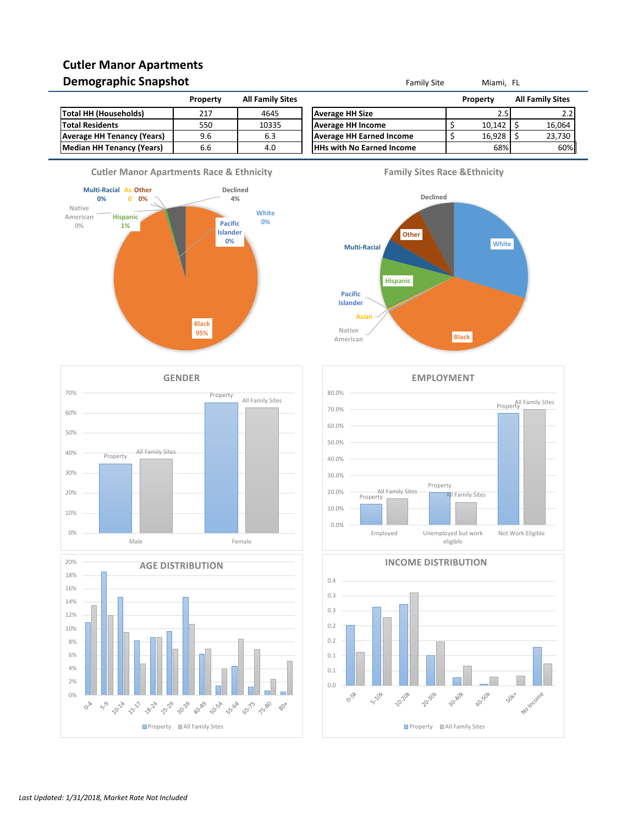# **Cutler Manor Apartments Demographic Snapshot Family Site** Miami, FL

| -                                 |          |                         |                                  |          |                         |
|-----------------------------------|----------|-------------------------|----------------------------------|----------|-------------------------|
|                                   | Property | <b>All Family Sites</b> |                                  | Property | <b>All Family Sites</b> |
| Total HH (Households)             | 217      | 4645                    | <b>Average HH Size</b>           | 2.5      | z.z                     |
| <b>Total Residents</b>            | 550      | 10335                   | <b>Average HH Income</b>         | 10.142   | 16,064                  |
| <b>Average HH Tenancy (Years)</b> | 9.6      | 6.3                     | <b>Average HH Earned Income</b>  | 16.928   | 23,730                  |
| Median HH Tenancy (Years)         | 6.6      | 4.0                     | <b>HHs with No Earned Income</b> | 68%      | 60%                     |
|                                   |          |                         |                                  |          |                         |















**INCOME DISTRIBUTION**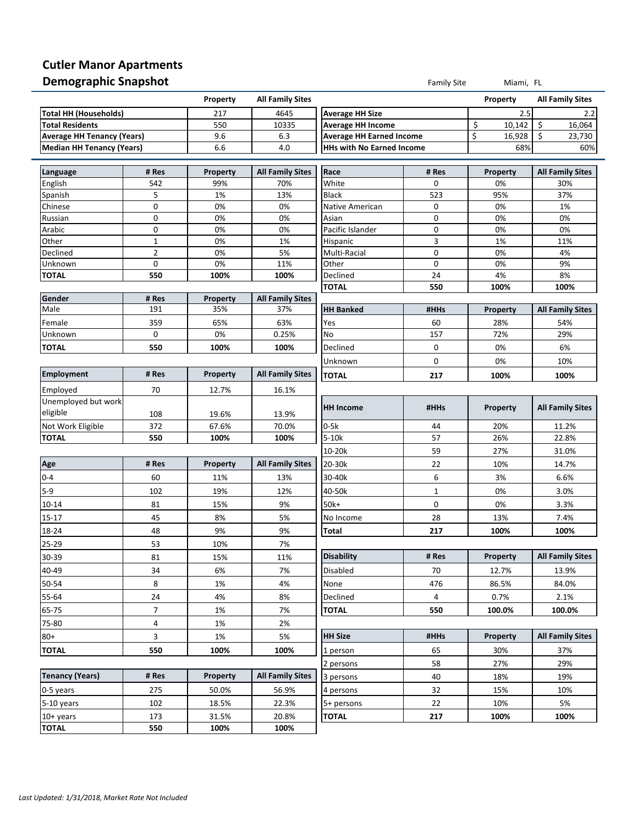# **Cutler Manor Apartments Demographic Snapshot Family Site** Miami, FL

 $\overline{a}$ 

 $\overline{a}$ 

|                                   |                | Property        | <b>All Family Sites</b> |                                  |             | Property        | <b>All Family Sites</b> |  |
|-----------------------------------|----------------|-----------------|-------------------------|----------------------------------|-------------|-----------------|-------------------------|--|
| Total HH (Households)             |                | 217             | 4645                    | <b>Average HH Size</b>           |             | 2.5             | 2.2                     |  |
| <b>Total Residents</b>            |                | 550             | 10335                   | <b>Average HH Income</b>         |             | \$<br>10,142    | \$<br>16,064            |  |
| <b>Average HH Tenancy (Years)</b> |                | 9.6             | 6.3                     | <b>Average HH Earned Income</b>  |             | \$<br>16,928    | \$<br>23,730<br>60%     |  |
| <b>Median HH Tenancy (Years)</b>  |                | 6.6             | 4.0                     | <b>HHs with No Earned Income</b> |             | 68%             |                         |  |
| Language                          | # Res          | Property        | <b>All Family Sites</b> | Race                             | # Res       | Property        | <b>All Family Sites</b> |  |
| English                           | 542            | 99%             | 70%                     | White                            | $\mathbf 0$ | 0%              | 30%                     |  |
| Spanish                           | 5              | 1%              | 13%                     | Black                            | 523         | 95%             | 37%                     |  |
| Chinese                           | $\mathbf 0$    | 0%              | 0%                      | Native American                  | 0           | 0%              | 1%                      |  |
| Russian                           | $\mathbf 0$    | 0%              | 0%                      | Asian                            | 0           | 0%              | 0%                      |  |
| Arabic                            | $\mathbf 0$    | 0%              | 0%                      | Pacific Islander                 | 0           | 0%              | 0%                      |  |
| Other                             | $\mathbf{1}$   | 0%              | 1%                      | Hispanic                         | 3           | 1%              | 11%                     |  |
| Declined                          | $\overline{2}$ | 0%              | 5%                      | Multi-Racial                     | $\pmb{0}$   | 0%              | 4%                      |  |
| Unknown                           | $\mathbf 0$    | 0%              | 11%                     | Other                            | 0           | 0%              | 9%                      |  |
| <b>TOTAL</b>                      | 550            | 100%            | 100%                    | Declined                         | 24          | 4%              | 8%                      |  |
|                                   |                |                 |                         | <b>TOTAL</b>                     | 550         | 100%            | 100%                    |  |
| Gender<br>Male                    | # Res          | Property        | <b>All Family Sites</b> |                                  |             |                 |                         |  |
|                                   | 191            | 35%             | 37%                     | <b>HH Banked</b>                 | #HHs        | Property        | <b>All Family Sites</b> |  |
| Female                            | 359            | 65%             | 63%                     | Yes                              | 60          | 28%             | 54%                     |  |
| Unknown                           | $\mathbf 0$    | 0%              | 0.25%                   | No                               | 157         | 72%             | 29%                     |  |
| <b>TOTAL</b>                      | 550            | 100%            | 100%                    | Declined                         | 0           | 0%              | 6%                      |  |
|                                   |                |                 |                         | Unknown                          | $\pmb{0}$   | 0%              | 10%                     |  |
| <b>Employment</b>                 | # Res          | <b>Property</b> | <b>All Family Sites</b> | <b>TOTAL</b>                     | 217         | 100%            | 100%                    |  |
| Employed                          | 70             | 12.7%           | 16.1%                   |                                  |             |                 |                         |  |
| Unemployed but work               |                |                 |                         |                                  |             |                 |                         |  |
| eligible                          | 108            | 19.6%           | 13.9%                   | <b>HH Income</b>                 | #HHs        | Property        | <b>All Family Sites</b> |  |
| Not Work Eligible                 | 372            | 67.6%           | 70.0%                   | $0-5k$                           | 44          | 20%             | 11.2%                   |  |
| <b>TOTAL</b>                      | 550            | 100%            | 100%                    | $5-10k$                          | 57          | 26%             | 22.8%                   |  |
|                                   |                |                 |                         | 10-20k                           | 59          | 27%             | 31.0%                   |  |
| Age                               | # Res          | Property        | <b>All Family Sites</b> | 20-30k                           | 22          | 10%             | 14.7%                   |  |
| $0 - 4$                           | 60             | 11%             | 13%                     | 30-40k                           | 6           | 3%              | 6.6%                    |  |
| $5-9$                             | 102            | 19%             | 12%                     | 40-50k                           | $\mathbf 1$ | 0%              | 3.0%                    |  |
| $10 - 14$                         | 81             | 15%             | 9%                      | 50k+                             | $\pmb{0}$   | 0%              | 3.3%                    |  |
| $15 - 17$                         | 45             | 8%              | 5%                      | No Income                        | 28          | 13%             | 7.4%                    |  |
| 18-24                             | 48             | 9%              |                         |                                  | 217         | 100%            | 100%                    |  |
| 25-29                             | 53             | 10%             | 9%<br>7%                | Total                            |             |                 |                         |  |
|                                   |                |                 |                         | <b>Disability</b>                |             |                 |                         |  |
| 30-39                             | 81             | 15%             | 11%                     |                                  | # Res       | Property        | <b>All Family Sites</b> |  |
| 40-49                             | 34             | 6%              | 7%                      | Disabled                         | 70          | 12.7%           | 13.9%                   |  |
| 50-54                             | 8              | 1%              | 4%                      | None                             | 476         | 86.5%           | 84.0%                   |  |
| 55-64                             | 24             | 4%              | 8%                      | Declined                         | 4           | 0.7%            | 2.1%                    |  |
| 65-75                             | 7              | 1%              | 7%                      | <b>TOTAL</b>                     | 550         | 100.0%          | 100.0%                  |  |
| 75-80                             | 4              | 1%              | 2%                      |                                  |             |                 |                         |  |
| $80+$                             | 3              | 1%              | 5%                      | <b>HH Size</b>                   | #HHs        | <b>Property</b> | <b>All Family Sites</b> |  |
| TOTAL                             | 550            | 100%            | 100%                    | 1 person                         | 65          | 30%             | 37%                     |  |
|                                   |                |                 |                         | 2 persons                        | 58          | 27%             | 29%                     |  |
| <b>Tenancy (Years)</b>            | # Res          | Property        | <b>All Family Sites</b> | 3 persons                        | 40          | 18%             | 19%                     |  |
| 0-5 years                         | 275            | 50.0%           | 56.9%                   | 4 persons                        | 32          | 15%             | 10%                     |  |
| 5-10 years                        | 102            |                 |                         |                                  |             | 10%             | 5%                      |  |
|                                   |                | 18.5%           | 22.3%                   | 5+ persons                       | 22          |                 |                         |  |
| $10+$ years<br><b>TOTAL</b>       | 173<br>550     | 31.5%<br>100%   | 20.8%<br>100%           | <b>TOTAL</b>                     | 217         | 100%            | 100%                    |  |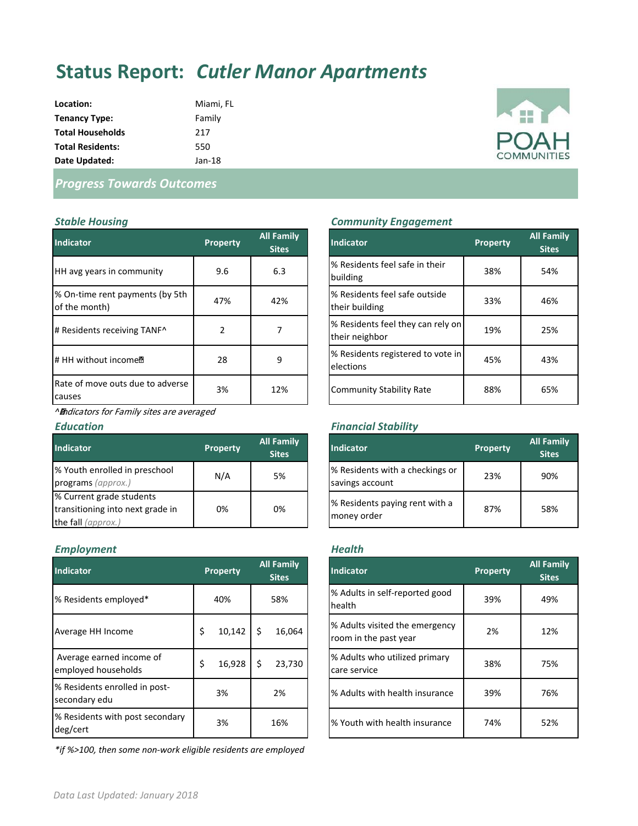# **Status Report:** *Cutler Manor Apartments*

**Location:** Miami, FL **Tenancy Type:** Family **Total Households** 217 **Total Residents:** 550 **Date Updated:** Jan-18



## *Progress Towards Outcomes*

| <b>Indicator</b>                                 | <b>Property</b> | <b>All Family</b><br><b>Sites</b> | <b>Indicator</b>                                    |
|--------------------------------------------------|-----------------|-----------------------------------|-----------------------------------------------------|
| HH avg years in community                        | 9.6             | 6.3                               | % Residents feel safe in their<br>building          |
| % On-time rent payments (by 5th<br>of the month) | 47%             | 42%                               | % Residents feel safe outside<br>their building     |
| # Residents receiving TANF^                      | $\mathcal{P}$   |                                   | % Residents feel they can rely on<br>their neighbor |
| # HH without income <sup>®</sup>                 | 28              | 9                                 | % Residents registered to vote in<br>elections      |
| Rate of move outs due to adverse<br>causes       | 3%              | 12%                               | <b>Community Stability Rate</b>                     |

*^*Indicators for Family sites are averaged

| <b>Indicator</b>                                                                   | <b>Property</b> | <b>All Family</b><br><b>Sites</b> | <b>Indicator</b>                                   |
|------------------------------------------------------------------------------------|-----------------|-----------------------------------|----------------------------------------------------|
| % Youth enrolled in preschool<br>programs (approx.)                                | N/A             | 5%                                | % Residents with a checkings or<br>savings account |
| % Current grade students<br>transitioning into next grade in<br>the fall (approx.) | 0%              | 0%                                | % Residents paying rent with a<br>money order      |

### *Employment Health*

| <b>Indicator</b>                                | <b>Property</b> |   | <b>All Family</b><br><b>Sites</b> | <b>Indicator</b>                                        | Property | <b>All Fan</b><br><b>Sites</b> |
|-------------------------------------------------|-----------------|---|-----------------------------------|---------------------------------------------------------|----------|--------------------------------|
| % Residents employed*                           | 40%             |   | 58%                               | % Adults in self-reported good<br>health                | 39%      | 49%                            |
| Average HH Income                               | \$<br>10,142    | S | 16,064                            | % Adults visited the emergency<br>room in the past year | 2%       | 12%                            |
| Average earned income of<br>employed households | \$<br>16,928    | Ś | 23,730                            | % Adults who utilized primary<br>care service           | 38%      | 75%                            |
| % Residents enrolled in post-<br>secondary edu  | 3%              |   | 2%                                | % Adults with health insurance                          | 39%      | 76%                            |
| % Residents with post secondary<br>deg/cert     | 3%              |   | 16%                               | % Youth with health insurance                           | 74%      | 52%                            |

*\*if %>100, then some non-work eligible residents are employed*

### *Stable Housing Community Engagement*

| perty         | <b>All Family</b><br><b>Sites</b> | <b>Indicator</b>                                    | <b>Property</b> | <b>All Family</b><br><b>Sites</b> |
|---------------|-----------------------------------|-----------------------------------------------------|-----------------|-----------------------------------|
| 9.6           | 6.3                               | % Residents feel safe in their<br>building          | 38%             | 54%                               |
| 17%           | 42%                               | % Residents feel safe outside<br>their building     | 33%             | 46%                               |
| $\mathcal{P}$ | 7                                 | % Residents feel they can rely on<br>their neighbor | 19%             | 25%                               |
| 28            | 9                                 | % Residents registered to vote in<br>elections      | 45%             | 43%                               |
| 3%            | 12%                               | <b>Community Stability Rate</b>                     | 88%             | 65%                               |

### *Education Financial Stability*

| perty | <b>All Family</b><br><b>Sites</b> | <b>Indicator</b>                                   | <b>Property</b> | <b>All Family</b><br><b>Sites</b> |
|-------|-----------------------------------|----------------------------------------------------|-----------------|-----------------------------------|
| N/A   | 5%                                | % Residents with a checkings or<br>savings account | 23%             | 90%                               |
| 0%    | 0%                                | % Residents paying rent with a<br>money order      | 87%             | 58%                               |

| <b>Family</b><br>Sites | <b>Indicator</b>                                        | <b>Property</b> | <b>All Family</b><br><b>Sites</b> |
|------------------------|---------------------------------------------------------|-----------------|-----------------------------------|
| 58%                    | % Adults in self-reported good<br>health                | 39%             | 49%                               |
| 16,064                 | % Adults visited the emergency<br>room in the past year | 2%              | 12%                               |
| 23,730                 | % Adults who utilized primary<br>care service           | 38%             | 75%                               |
| 2%                     | % Adults with health insurance                          | 39%             | 76%                               |
| 16%                    | % Youth with health insurance                           | 74%             | 52%                               |